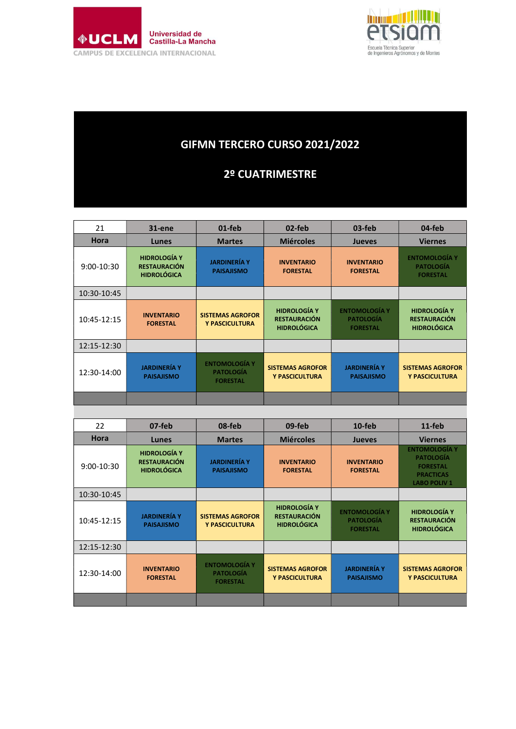



## GIFMN TERCERO CURSO 2021/2022

## 2º CUATRIMESTRE

| 21           | 31-ene                                                           | 01-feb                                                      | 02-feb                                                    | 03-feb                                                      | 04-feb                                                                                          |
|--------------|------------------------------------------------------------------|-------------------------------------------------------------|-----------------------------------------------------------|-------------------------------------------------------------|-------------------------------------------------------------------------------------------------|
| Hora         | Lunes                                                            | <b>Martes</b>                                               | <b>Miércoles</b>                                          | <b>Jueves</b>                                               | <b>Viernes</b>                                                                                  |
| 9:00-10:30   | <b>HIDROLOGÍA Y</b><br><b>RESTAURACIÓN</b><br><b>HIDROLÓGICA</b> | <b>JARDINERÍA Y</b><br><b>PAISAJISMO</b>                    | <b>INVENTARIO</b><br><b>FORESTAL</b>                      | <b>INVENTARIO</b><br><b>FORESTAL</b>                        | <b>ENTOMOLOGÍA Y</b><br>PATOLOGÍA<br><b>FORESTAL</b>                                            |
| 10:30-10:45  |                                                                  |                                                             |                                                           |                                                             |                                                                                                 |
| 10:45-12:15  | <b>INVENTARIO</b><br><b>FORESTAL</b>                             | <b>SISTEMAS AGROFOR</b><br>Y PASCICULTURA                   | <b>HIDROLOGÍA Y</b><br>RESTAURACIÓN<br><b>HIDROLÓGICA</b> | <b>ENTOMOLOGÍA Y</b><br><b>PATOLOGÍA</b><br><b>FORESTAL</b> | <b>HIDROLOGÍA Y</b><br><b>RESTAURACIÓN</b><br><b>HIDROLÓGICA</b>                                |
| 12:15-12:30  |                                                                  |                                                             |                                                           |                                                             |                                                                                                 |
| 12:30-14:00  | <b>JARDINERÍA Y</b><br><b>PAISAJISMO</b>                         | <b>ENTOMOLOGÍA Y</b><br><b>PATOLOGÍA</b><br><b>FORESTAL</b> | <b>SISTEMAS AGROFOR</b><br>Y PASCICULTURA                 | <b>JARDINERÍA Y</b><br><b>PAISAJISMO</b>                    | <b>SISTEMAS AGROFOR</b><br>Y PASCICULTURA                                                       |
|              |                                                                  |                                                             |                                                           |                                                             |                                                                                                 |
|              |                                                                  |                                                             |                                                           |                                                             |                                                                                                 |
| 22           | 07-feb                                                           | 08-feb                                                      | 09-feb                                                    | $10$ -feb                                                   | $11-feb$                                                                                        |
| Hora         | Lunes                                                            | <b>Martes</b>                                               | <b>Miércoles</b>                                          | <b>Jueves</b>                                               | <b>Viernes</b>                                                                                  |
| $9:00-10:30$ | <b>HIDROLOGÍA Y</b><br><b>RESTAURACIÓN</b><br><b>HIDROLÓGICA</b> | <b>JARDINERÍA Y</b><br><b>PAISAJISMO</b>                    | <b>INVENTARIO</b><br><b>FORESTAL</b>                      | <b>INVENTARIO</b><br><b>FORESTAL</b>                        | <b>ENTOMOLOGÍA Y</b><br>PATOLOGÍA<br><b>FORESTAL</b><br><b>PRACTICAS</b><br><b>LABO POLIV 1</b> |
| 10:30-10:45  |                                                                  |                                                             |                                                           |                                                             |                                                                                                 |
| 10:45-12:15  | <b>JARDINERÍA Y</b><br><b>PAISAJISMO</b>                         | <b>SISTEMAS AGROFOR</b><br>Y PASCICULTURA                   | <b>HIDROLOGÍA Y</b><br>RESTAURACIÓN<br><b>HIDROLÓGICA</b> | <b>ENTOMOLOGÍA Y</b><br><b>PATOLOGÍA</b><br><b>FORESTAL</b> | <b>HIDROLOGÍA Y</b><br><b>RESTAURACIÓN</b><br><b>HIDROLÓGICA</b>                                |
| 12:15-12:30  |                                                                  |                                                             |                                                           |                                                             |                                                                                                 |
| 12:30-14:00  | <b>INVENTARIO</b><br><b>FORESTAL</b>                             | <b>ENTOMOLOGÍA Y</b><br><b>PATOLOGÍA</b><br><b>FORESTAL</b> | <b>SISTEMAS AGROFOR</b><br>Y PASCICULTURA                 | <b>JARDINERÍA Y</b><br><b>PAISAJISMO</b>                    | <b>SISTEMAS AGROFOR</b><br>Y PASCICULTURA                                                       |
|              |                                                                  |                                                             |                                                           |                                                             |                                                                                                 |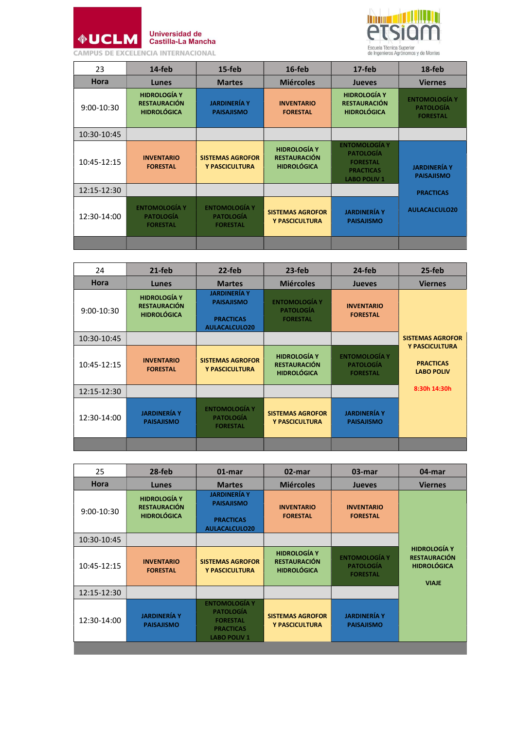

Universidad de<br>Castilla-La Mancha



| 23           | $14$ -feb                                                        | $15$ -feb                                                   | 16-feb                                                           | $17$ -feb                                                                                              | 18-feb                                                      |
|--------------|------------------------------------------------------------------|-------------------------------------------------------------|------------------------------------------------------------------|--------------------------------------------------------------------------------------------------------|-------------------------------------------------------------|
| <b>Hora</b>  | <b>Lunes</b>                                                     | <b>Martes</b>                                               | <b>Miércoles</b>                                                 | <b>Jueves</b>                                                                                          | <b>Viernes</b>                                              |
| $9:00-10:30$ | <b>HIDROLOGÍA Y</b><br><b>RESTAURACIÓN</b><br><b>HIDROLÓGICA</b> | <b>JARDINERÍA Y</b><br><b>PAISAJISMO</b>                    | <b>INVENTARIO</b><br><b>FORESTAL</b>                             | <b>HIDROLOGÍA Y</b><br><b>RESTAURACIÓN</b><br><b>HIDROLÓGICA</b>                                       | <b>ENTOMOLOGÍA Y</b><br><b>PATOLOGÍA</b><br><b>FORESTAL</b> |
| 10:30-10:45  |                                                                  |                                                             |                                                                  |                                                                                                        |                                                             |
| 10:45-12:15  | <b>INVENTARIO</b><br><b>FORESTAL</b>                             | <b>SISTEMAS AGROFOR</b><br>Y PASCICULTURA                   | <b>HIDROLOGÍA Y</b><br><b>RESTAURACIÓN</b><br><b>HIDROLÓGICA</b> | <b>ENTOMOLOGÍA Y</b><br><b>PATOLOGÍA</b><br><b>FORESTAL</b><br><b>PRACTICAS</b><br><b>LABO POLIV 1</b> | <b>JARDINERÍA Y</b><br><b>PAISAJISMO</b>                    |
| 12:15-12:30  |                                                                  |                                                             |                                                                  |                                                                                                        | <b>PRACTICAS</b>                                            |
| 12:30-14:00  | <b>ENTOMOLOGÍA Y</b><br><b>PATOLOGÍA</b><br><b>FORESTAL</b>      | <b>ENTOMOLOGÍA Y</b><br><b>PATOLOGÍA</b><br><b>FORESTAL</b> | <b>SISTEMAS AGROFOR</b><br>Y PASCICULTURA                        | <b>JARDINERÍA Y</b><br><b>PAISAJISMO</b>                                                               | <b>AULACALCULO20</b>                                        |
|              |                                                                  |                                                             |                                                                  |                                                                                                        |                                                             |

| 24          | $21$ -feb                                                        | 22-feb                                                                        | 23-feb                                                           | 24-feb                                                      | 25-feb                                                  |
|-------------|------------------------------------------------------------------|-------------------------------------------------------------------------------|------------------------------------------------------------------|-------------------------------------------------------------|---------------------------------------------------------|
| <b>Hora</b> | <b>Lunes</b>                                                     | <b>Martes</b>                                                                 | <b>Miércoles</b>                                                 | <b>Jueves</b>                                               | <b>Viernes</b>                                          |
| 9:00-10:30  | <b>HIDROLOGÍA Y</b><br><b>RESTAURACIÓN</b><br><b>HIDROLÓGICA</b> | <b>JARDINERÍA Y</b><br><b>PAISAJISMO</b><br><b>PRACTICAS</b><br>AULACALCULO20 | <b>ENTOMOLOGÍA Y</b><br><b>PATOLOGÍA</b><br><b>FORESTAL</b>      | <b>INVENTARIO</b><br><b>FORESTAL</b>                        |                                                         |
| 10:30-10:45 |                                                                  |                                                                               |                                                                  |                                                             | <b>SISTEMAS AGROFOR</b>                                 |
| 10:45-12:15 | <b>INVENTARIO</b><br><b>FORESTAL</b>                             | <b>SISTEMAS AGROFOR</b><br>Y PASCICULTURA                                     | <b>HIDROLOGÍA Y</b><br><b>RESTAURACIÓN</b><br><b>HIDROLÓGICA</b> | <b>ENTOMOLOGÍA Y</b><br><b>PATOLOGÍA</b><br><b>FORESTAL</b> | Y PASCICULTURA<br><b>PRACTICAS</b><br><b>LABO POLIV</b> |
| 12:15-12:30 |                                                                  |                                                                               |                                                                  |                                                             | 8:30h 14:30h                                            |
| 12:30-14:00 | <b>JARDINERÍA Y</b><br><b>PAISAJISMO</b>                         | <b>ENTOMOLOGÍA Y</b><br><b>PATOLOGÍA</b><br><b>FORESTAL</b>                   | <b>SISTEMAS AGROFOR</b><br><b>Y PASCICULTURA</b>                 | <b>JARDINERÍA Y</b><br><b>PAISAJISMO</b>                    |                                                         |
|             |                                                                  |                                                                               |                                                                  |                                                             |                                                         |

| 25           | 28-feb                                                           | $01$ -mar                                                                                              | 02-mar                                                           | 03-mar                                                      | 04-mar                                                                           |
|--------------|------------------------------------------------------------------|--------------------------------------------------------------------------------------------------------|------------------------------------------------------------------|-------------------------------------------------------------|----------------------------------------------------------------------------------|
| Hora         | Lunes                                                            | <b>Martes</b>                                                                                          | <b>Miércoles</b>                                                 | <b>Jueves</b>                                               | <b>Viernes</b>                                                                   |
| $9:00-10:30$ | <b>HIDROLOGÍA Y</b><br><b>RESTAURACIÓN</b><br><b>HIDROLÓGICA</b> | <b>JARDINERÍA Y</b><br><b>PAISAJISMO</b><br><b>PRACTICAS</b><br><b>AULACALCULO20</b>                   | <b>INVENTARIO</b><br><b>FORESTAL</b>                             | <b>INVENTARIO</b><br><b>FORESTAL</b>                        |                                                                                  |
| 10:30-10:45  |                                                                  |                                                                                                        |                                                                  |                                                             |                                                                                  |
| 10:45-12:15  | <b>INVENTARIO</b><br><b>FORESTAL</b>                             | <b>SISTEMAS AGROFOR</b><br>Y PASCICULTURA                                                              | <b>HIDROLOGÍA Y</b><br><b>RESTAURACIÓN</b><br><b>HIDROLÓGICA</b> | <b>ENTOMOLOGÍA Y</b><br><b>PATOLOGÍA</b><br><b>FORESTAL</b> | <b>HIDROLOGÍA Y</b><br><b>RESTAURACIÓN</b><br><b>HIDROLÓGICA</b><br><b>VIAJE</b> |
| 12:15-12:30  |                                                                  |                                                                                                        |                                                                  |                                                             |                                                                                  |
| 12:30-14:00  | <b>JARDINERÍA Y</b><br><b>PAISAJISMO</b>                         | <b>ENTOMOLOGÍA Y</b><br><b>PATOLOGÍA</b><br><b>FORESTAL</b><br><b>PRACTICAS</b><br><b>LABO POLIV 1</b> | <b>SISTEMAS AGROFOR</b><br>Y PASCICULTURA                        | <b>JARDINERÍA Y</b><br><b>PAISAJISMO</b>                    |                                                                                  |
|              |                                                                  |                                                                                                        |                                                                  |                                                             |                                                                                  |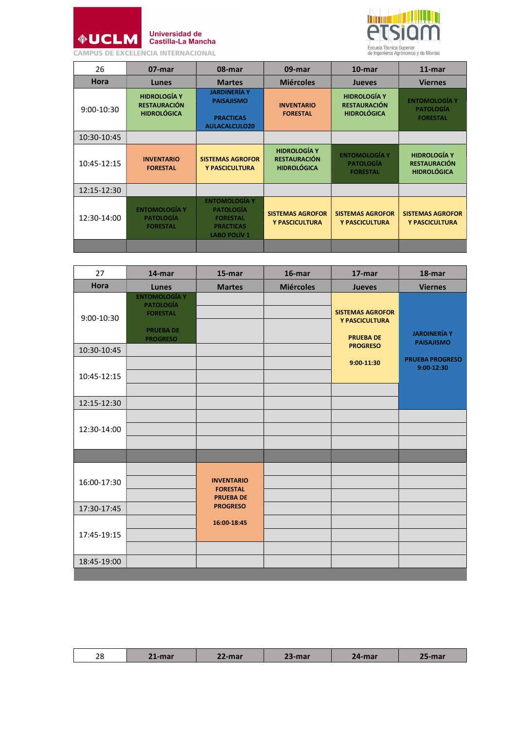



| 26          | 07-mar                                                           | 08-mar                                                                                                 | 09-mar                                                           | $10$ -mar                                                        | $11$ -mar                                                        |
|-------------|------------------------------------------------------------------|--------------------------------------------------------------------------------------------------------|------------------------------------------------------------------|------------------------------------------------------------------|------------------------------------------------------------------|
| <b>Hora</b> | <b>Lunes</b>                                                     | <b>Martes</b>                                                                                          | <b>Miércoles</b>                                                 | <b>Jueves</b>                                                    | <b>Viernes</b>                                                   |
| 9:00-10:30  | <b>HIDROLOGÍA Y</b><br><b>RESTAURACIÓN</b><br><b>HIDROLÓGICA</b> | <b>JARDINERÍA Y</b><br><b>PAISAJISMO</b><br><b>PRACTICAS</b><br><b>AULACALCULO20</b>                   | <b>INVENTARIO</b><br><b>FORESTAL</b>                             | <b>HIDROLOGÍA Y</b><br><b>RESTAURACIÓN</b><br><b>HIDROLÓGICA</b> | <b>ENTOMOLOGÍA Y</b><br><b>PATOLOGÍA</b><br><b>FORESTAL</b>      |
| 10:30-10:45 |                                                                  |                                                                                                        |                                                                  |                                                                  |                                                                  |
| 10:45-12:15 | <b>INVENTARIO</b><br><b>FORESTAL</b>                             | <b>SISTEMAS AGROFOR</b><br>Y PASCICULTURA                                                              | <b>HIDROLOGÍA Y</b><br><b>RESTAURACIÓN</b><br><b>HIDROLÓGICA</b> | <b>ENTOMOLOGÍA Y</b><br><b>PATOLOGÍA</b><br><b>FORESTAL</b>      | <b>HIDROLOGÍA Y</b><br><b>RESTAURACIÓN</b><br><b>HIDROLÓGICA</b> |
| 12:15-12:30 |                                                                  |                                                                                                        |                                                                  |                                                                  |                                                                  |
| 12:30-14:00 | <b>ENTOMOLOGÍA Y</b><br><b>PATOLOGÍA</b><br><b>FORESTAL</b>      | <b>ENTOMOLOGÍA Y</b><br><b>PATOLOGÍA</b><br><b>FORESTAL</b><br><b>PRACTICAS</b><br><b>LABO POLIV 1</b> | <b>SISTEMAS AGROFOR</b><br>Y PASCICULTURA                        | <b>SISTEMAS AGROFOR</b><br>Y PASCICULTURA                        | <b>SISTEMAS AGROFOR</b><br>Y PASCICULTURA                        |
|             |                                                                  |                                                                                                        |                                                                  |                                                                  |                                                                  |

| 27          | 14-mar                                                                                             | 15-mar                                                                      | 16-mar           | 17-mar                                                        | 18-mar                                   |
|-------------|----------------------------------------------------------------------------------------------------|-----------------------------------------------------------------------------|------------------|---------------------------------------------------------------|------------------------------------------|
| <b>Hora</b> | Lunes                                                                                              | <b>Martes</b>                                                               | <b>Miércoles</b> | <b>Jueves</b>                                                 | <b>Viernes</b>                           |
| 9:00-10:30  | <b>ENTOMOLOGÍA Y</b><br><b>PATOLOGÍA</b><br><b>FORESTAL</b><br><b>PRUEBA DE</b><br><b>PROGRESO</b> |                                                                             |                  | <b>SISTEMAS AGROFOR</b><br>Y PASCICULTURA<br><b>PRUEBA DE</b> | <b>JARDINERÍA Y</b><br><b>PAISAJISMO</b> |
| 10:30-10:45 |                                                                                                    |                                                                             |                  | <b>PROGRESO</b>                                               |                                          |
| 10:45-12:15 |                                                                                                    |                                                                             |                  | 9:00-11:30                                                    | <b>PRUEBA PROGRESO</b><br>9:00-12:30     |
| 12:15-12:30 |                                                                                                    |                                                                             |                  |                                                               |                                          |
| 12:30-14:00 |                                                                                                    |                                                                             |                  |                                                               |                                          |
| 16:00-17:30 |                                                                                                    | <b>INVENTARIO</b><br><b>FORESTAL</b><br><b>PRUEBA DE</b><br><b>PROGRESO</b> |                  |                                                               |                                          |
| 17:30-17:45 |                                                                                                    |                                                                             |                  |                                                               |                                          |
| 17:45-19:15 |                                                                                                    | 16:00-18:45                                                                 |                  |                                                               |                                          |
| 18:45-19:00 |                                                                                                    |                                                                             |                  |                                                               |                                          |
|             |                                                                                                    |                                                                             |                  |                                                               |                                          |

| $\Omega$<br>20 | <b>INN OF</b><br>лнаг  | -mar | $\sim$<br>49-шаг | $-4$ -mar $\sim$ | ·mar |
|----------------|------------------------|------|------------------|------------------|------|
|                | <b>THE R. P. LEWIS</b> |      |                  |                  |      |
|                |                        |      |                  |                  |      |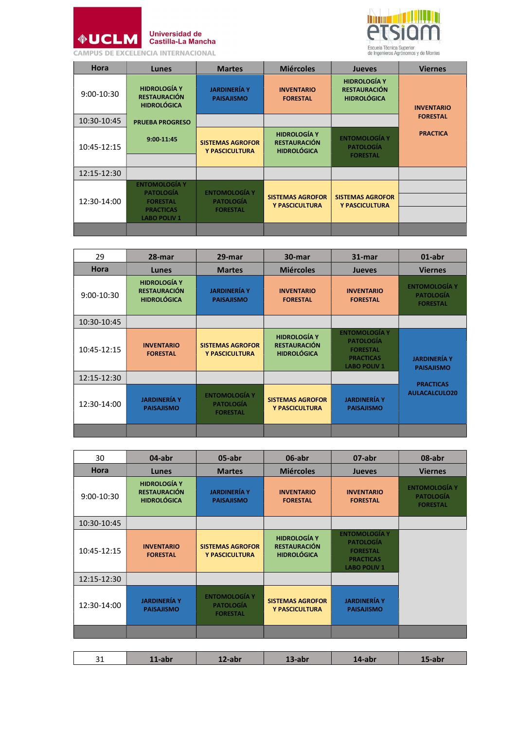

## Universidad de<br>Castilla-La Mancha



| <b>Hora</b>  | <b>Lunes</b>                                                                                          | <b>Martes</b>                                               | <b>Miércoles</b>                                                 | <b>Jueves</b>                                                    | <b>Viernes</b>    |
|--------------|-------------------------------------------------------------------------------------------------------|-------------------------------------------------------------|------------------------------------------------------------------|------------------------------------------------------------------|-------------------|
| $9:00-10:30$ | <b>HIDROLOGÍA Y</b><br><b>RESTAURACIÓN</b><br><b>HIDROLÓGICA</b>                                      | <b>JARDINERÍA Y</b><br><b>PAISAJISMO</b>                    | <b>INVENTARIO</b><br><b>FORESTAL</b>                             | <b>HIDROLOGÍA Y</b><br><b>RESTAURACIÓN</b><br><b>HIDROLÓGICA</b> | <b>INVENTARIO</b> |
| 10:30-10:45  | <b>PRUEBA PROGRESO</b>                                                                                |                                                             |                                                                  |                                                                  | <b>FORESTAL</b>   |
| 10:45-12:15  | 9:00-11:45                                                                                            | <b>SISTEMAS AGROFOR</b><br>Y PASCICULTURA                   | <b>HIDROLOGÍA Y</b><br><b>RESTAURACIÓN</b><br><b>HIDROLÓGICA</b> | <b>ENTOMOLOGÍA Y</b><br><b>PATOLOGÍA</b><br><b>FORESTAL</b>      | <b>PRACTICA</b>   |
| 12:15-12:30  |                                                                                                       |                                                             |                                                                  |                                                                  |                   |
| 12:30-14:00  | <b>ENTOMOLOGÍA Y</b><br><b>PATOLOGÍA</b><br><b>FORESTAL</b><br><b>PRACTICAS</b><br><b>LABO POLIV1</b> | <b>ENTOMOLOGÍA Y</b><br><b>PATOLOGÍA</b><br><b>FORESTAL</b> | <b>SISTEMAS AGROFOR</b><br>Y PASCICULTURA                        | <b>SISTEMAS AGROFOR</b><br>Y PASCICULTURA                        |                   |
|              |                                                                                                       |                                                             |                                                                  |                                                                  |                   |

| 29           | 28-mar                                                           | 29-mar                                                      | 30-mar                                                           | 31-mar                                                                                                 | $01$ -abr                                                   |
|--------------|------------------------------------------------------------------|-------------------------------------------------------------|------------------------------------------------------------------|--------------------------------------------------------------------------------------------------------|-------------------------------------------------------------|
| <b>Hora</b>  | Lunes                                                            | <b>Martes</b>                                               | <b>Miércoles</b>                                                 | <b>Jueves</b>                                                                                          | <b>Viernes</b>                                              |
| $9:00-10:30$ | <b>HIDROLOGÍA Y</b><br><b>RESTAURACIÓN</b><br><b>HIDROLÓGICA</b> | <b>JARDINERÍA Y</b><br><b>PAISAJISMO</b>                    | <b>INVENTARIO</b><br><b>FORESTAL</b>                             | <b>INVENTARIO</b><br><b>FORESTAL</b>                                                                   | <b>ENTOMOLOGÍA Y</b><br><b>PATOLOGÍA</b><br><b>FORESTAL</b> |
| 10:30-10:45  |                                                                  |                                                             |                                                                  |                                                                                                        |                                                             |
| 10:45-12:15  | <b>INVENTARIO</b><br><b>FORESTAL</b>                             | <b>SISTEMAS AGROFOR</b><br>Y PASCICULTURA                   | <b>HIDROLOGÍA Y</b><br><b>RESTAURACIÓN</b><br><b>HIDROLÓGICA</b> | <b>ENTOMOLOGÍA Y</b><br><b>PATOLOGÍA</b><br><b>FORESTAL</b><br><b>PRACTICAS</b><br><b>LABO POLIV 1</b> | <b>JARDINERÍA Y</b><br><b>PAISAJISMO</b>                    |
| 12:15-12:30  |                                                                  |                                                             |                                                                  |                                                                                                        |                                                             |
| 12:30-14:00  | <b>JARDINERÍA Y</b><br><b>PAISAJISMO</b>                         | <b>ENTOMOLOGÍA Y</b><br><b>PATOLOGÍA</b><br><b>FORESTAL</b> | <b>SISTEMAS AGROFOR</b><br>Y PASCICULTURA                        | <b>JARDINERÍA Y</b><br><b>PAISAJISMO</b>                                                               | <b>PRACTICAS</b><br>AULACALCULO20                           |
|              |                                                                  |                                                             |                                                                  |                                                                                                        |                                                             |

| 30          | 04-abr                                                           | 05-abr                                                      | 06-abr                                                           | 07-abr                                                                                                 | 08-abr                                                      |
|-------------|------------------------------------------------------------------|-------------------------------------------------------------|------------------------------------------------------------------|--------------------------------------------------------------------------------------------------------|-------------------------------------------------------------|
| <b>Hora</b> | Lunes                                                            | <b>Martes</b>                                               | <b>Miércoles</b>                                                 | <b>Jueves</b>                                                                                          | <b>Viernes</b>                                              |
| 9:00-10:30  | <b>HIDROLOGÍA Y</b><br><b>RESTAURACIÓN</b><br><b>HIDROLÓGICA</b> | <b>JARDINERÍA Y</b><br><b>PAISAJISMO</b>                    | <b>INVENTARIO</b><br><b>FORESTAL</b>                             | <b>INVENTARIO</b><br><b>FORESTAL</b>                                                                   | <b>ENTOMOLOGÍA Y</b><br><b>PATOLOGÍA</b><br><b>FORESTAL</b> |
| 10:30-10:45 |                                                                  |                                                             |                                                                  |                                                                                                        |                                                             |
| 10:45-12:15 | <b>INVENTARIO</b><br><b>FORESTAL</b>                             | <b>SISTEMAS AGROFOR</b><br>Y PASCICULTURA                   | <b>HIDROLOGÍA Y</b><br><b>RESTAURACIÓN</b><br><b>HIDROLÓGICA</b> | <b>ENTOMOLOGÍA Y</b><br><b>PATOLOGÍA</b><br><b>FORESTAL</b><br><b>PRACTICAS</b><br><b>LABO POLIV 1</b> |                                                             |
| 12:15-12:30 |                                                                  |                                                             |                                                                  |                                                                                                        |                                                             |
| 12:30-14:00 | <b>JARDINERÍA Y</b><br><b>PAISAJISMO</b>                         | <b>ENTOMOLOGÍA Y</b><br><b>PATOLOGÍA</b><br><b>FORESTAL</b> | <b>SISTEMAS AGROFOR</b><br>Y PASCICULTURA                        | <b>JARDINERÍA Y</b><br><b>PAISAJISMO</b>                                                               |                                                             |
|             |                                                                  |                                                             |                                                                  |                                                                                                        |                                                             |

| 24<br>14-abr<br>$\rightarrow$ -abr $\rightarrow$<br>!-abi<br>-apr<br>--<br>--- |
|--------------------------------------------------------------------------------|
|--------------------------------------------------------------------------------|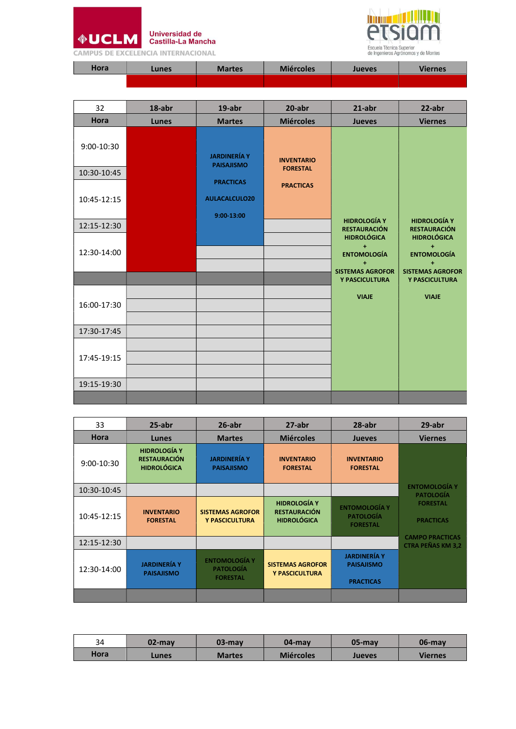



|  |  | CAMPUS DE EXCELENCIA INTERNACIONAL |
|--|--|------------------------------------|
|--|--|------------------------------------|

| Hora | Lunes <sup>,</sup> | <b>Martes</b> | <b>Miércoles</b> | <b>Jueves</b> | <b>Viernes</b> |
|------|--------------------|---------------|------------------|---------------|----------------|
|      |                    |               |                  |               |                |

| 32          | 18-abr | 19-abr               | 20-abr            | $21$ -abr                                                               | 22-abr                                                                    |
|-------------|--------|----------------------|-------------------|-------------------------------------------------------------------------|---------------------------------------------------------------------------|
| Hora        | Lunes  | <b>Martes</b>        | <b>Miércoles</b>  | <b>Jueves</b>                                                           | <b>Viernes</b>                                                            |
| 9:00-10:30  |        | <b>JARDINERÍA Y</b>  | <b>INVENTARIO</b> |                                                                         |                                                                           |
| 10:30-10:45 |        | <b>PAISAJISMO</b>    | <b>FORESTAL</b>   |                                                                         |                                                                           |
|             |        | <b>PRACTICAS</b>     | <b>PRACTICAS</b>  |                                                                         |                                                                           |
| 10:45-12:15 |        | <b>AULACALCULO20</b> |                   |                                                                         |                                                                           |
|             |        | 9:00-13:00           |                   | <b>HIDROLOGÍA Y</b>                                                     | <b>HIDROLOGÍA Y</b>                                                       |
| 12:15-12:30 |        |                      |                   | <b>RESTAURACIÓN</b>                                                     | <b>RESTAURACIÓN</b>                                                       |
| 12:30-14:00 |        |                      |                   | <b>HIDROLÓGICA</b><br>$+$<br><b>ENTOMOLOGÍA</b><br>$\ddot{\phantom{1}}$ | <b>HIDROLÓGICA</b><br>$\pm$<br><b>ENTOMOLOGÍA</b><br>$\ddot{\phantom{1}}$ |
|             |        |                      |                   | <b>SISTEMAS AGROFOR</b><br>Y PASCICULTURA                               | <b>SISTEMAS AGROFOR</b><br>Y PASCICULTURA                                 |
| 16:00-17:30 |        |                      |                   | <b>VIAJE</b>                                                            | <b>VIAJE</b>                                                              |
| 17:30-17:45 |        |                      |                   |                                                                         |                                                                           |
| 17:45-19:15 |        |                      |                   |                                                                         |                                                                           |
| 19:15-19:30 |        |                      |                   |                                                                         |                                                                           |
|             |        |                      |                   |                                                                         |                                                                           |

| 33          | $25$ -abr                                                        | $26$ -abr                                                   | 27-abr                                                           | 28-abr                                                       | 29-abr                                             |
|-------------|------------------------------------------------------------------|-------------------------------------------------------------|------------------------------------------------------------------|--------------------------------------------------------------|----------------------------------------------------|
| <b>Hora</b> | Lunes                                                            | <b>Martes</b>                                               | <b>Miércoles</b>                                                 | <b>Jueves</b>                                                | <b>Viernes</b>                                     |
| 9:00-10:30  | <b>HIDROLOGÍA Y</b><br><b>RESTAURACIÓN</b><br><b>HIDROLÓGICA</b> | <b>JARDINERÍA Y</b><br><b>PAISAJISMO</b>                    | <b>INVENTARIO</b><br><b>FORESTAL</b>                             | <b>INVENTARIO</b><br><b>FORESTAL</b>                         |                                                    |
| 10:30-10:45 |                                                                  |                                                             |                                                                  |                                                              | <b>ENTOMOLOGÍA Y</b><br><b>PATOLOGÍA</b>           |
| 10:45-12:15 | <b>INVENTARIO</b><br><b>FORESTAL</b>                             | <b>SISTEMAS AGROFOR</b><br>Y PASCICULTURA                   | <b>HIDROLOGÍA Y</b><br><b>RESTAURACIÓN</b><br><b>HIDROLÓGICA</b> | <b>ENTOMOLOGÍA Y</b><br><b>PATOLOGÍA</b><br><b>FORESTAL</b>  | <b>FORESTAL</b><br><b>PRACTICAS</b>                |
| 12:15-12:30 |                                                                  |                                                             |                                                                  |                                                              | <b>CAMPO PRACTICAS</b><br><b>CTRA PEÑAS KM 3,2</b> |
| 12:30-14:00 | <b>JARDINERÍA Y</b><br><b>PAISAJISMO</b>                         | <b>ENTOMOLOGÍA Y</b><br><b>PATOLOGÍA</b><br><b>FORESTAL</b> | <b>SISTEMAS AGROFOR</b><br><b>Y PASCICULTURA</b>                 | <b>JARDINERÍA Y</b><br><b>PAISAJISMO</b><br><b>PRACTICAS</b> |                                                    |
|             |                                                                  |                                                             |                                                                  |                                                              |                                                    |

| 34   | $02$ -may    | $03$ -may     | $04$ -may        | $05$ -may | 06-may         |
|------|--------------|---------------|------------------|-----------|----------------|
| Hora | <b>Lunes</b> | <b>Martes</b> | <b>Miércoles</b> | Jueves    | <b>Viernes</b> |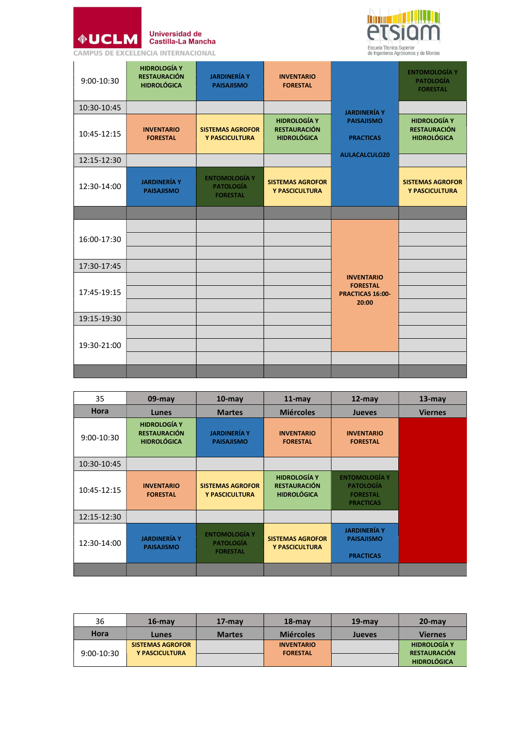



| 9:00-10:30  | <b>HIDROLOGÍA Y</b><br><b>RESTAURACIÓN</b><br><b>HIDROLÓGICA</b> | <b>JARDINERÍA Y</b><br><b>PAISAJISMO</b>                    | <b>INVENTARIO</b><br><b>FORESTAL</b>                             |                                                                          | <b>ENTOMOLOGÍA Y</b><br><b>PATOLOGÍA</b><br><b>FORESTAL</b>      |
|-------------|------------------------------------------------------------------|-------------------------------------------------------------|------------------------------------------------------------------|--------------------------------------------------------------------------|------------------------------------------------------------------|
| 10:30-10:45 |                                                                  |                                                             |                                                                  | <b>JARDINERÍA Y</b>                                                      |                                                                  |
| 10:45-12:15 | <b>INVENTARIO</b><br><b>FORESTAL</b>                             | <b>SISTEMAS AGROFOR</b><br>Y PASCICULTURA                   | <b>HIDROLOGÍA Y</b><br><b>RESTAURACIÓN</b><br><b>HIDROLÓGICA</b> | <b>PAISAJISMO</b><br><b>PRACTICAS</b>                                    | <b>HIDROLOGÍA Y</b><br><b>RESTAURACIÓN</b><br><b>HIDROLÓGICA</b> |
| 12:15-12:30 |                                                                  |                                                             |                                                                  | AULACALCULO20                                                            |                                                                  |
| 12:30-14:00 | <b>JARDINERÍA Y</b><br><b>PAISAJISMO</b>                         | <b>ENTOMOLOGÍA Y</b><br><b>PATOLOGÍA</b><br><b>FORESTAL</b> | <b>SISTEMAS AGROFOR</b><br>Y PASCICULTURA                        |                                                                          | <b>SISTEMAS AGROFOR</b><br>Y PASCICULTURA                        |
|             |                                                                  |                                                             |                                                                  |                                                                          |                                                                  |
| 16:00-17:30 |                                                                  |                                                             |                                                                  |                                                                          |                                                                  |
| 17:30-17:45 |                                                                  |                                                             |                                                                  |                                                                          |                                                                  |
| 17:45-19:15 |                                                                  |                                                             |                                                                  | <b>INVENTARIO</b><br><b>FORESTAL</b><br><b>PRACTICAS 16:00-</b><br>20:00 |                                                                  |
| 19:15-19:30 |                                                                  |                                                             |                                                                  |                                                                          |                                                                  |
| 19:30-21:00 |                                                                  |                                                             |                                                                  |                                                                          |                                                                  |
|             |                                                                  |                                                             |                                                                  |                                                                          |                                                                  |
|             |                                                                  |                                                             |                                                                  |                                                                          |                                                                  |

| 35           | $09$ -may                                                        | $10$ -may                                                   | $11$ -may                                                        | $12$ -may                                                                       | $13$ -may      |
|--------------|------------------------------------------------------------------|-------------------------------------------------------------|------------------------------------------------------------------|---------------------------------------------------------------------------------|----------------|
| <b>Hora</b>  | <b>Lunes</b>                                                     | <b>Martes</b>                                               | <b>Miércoles</b>                                                 | <b>Jueves</b>                                                                   | <b>Viernes</b> |
| $9:00-10:30$ | <b>HIDROLOGÍA Y</b><br><b>RESTAURACIÓN</b><br><b>HIDROLÓGICA</b> | <b>JARDINERÍA Y</b><br><b>PAISAJISMO</b>                    | <b>INVENTARIO</b><br><b>FORESTAL</b>                             | <b>INVENTARIO</b><br><b>FORESTAL</b>                                            |                |
| 10:30-10:45  |                                                                  |                                                             |                                                                  |                                                                                 |                |
| 10:45-12:15  | <b>INVENTARIO</b><br><b>FORESTAL</b>                             | <b>SISTEMAS AGROFOR</b><br>Y PASCICULTURA                   | <b>HIDROLOGÍA Y</b><br><b>RESTAURACIÓN</b><br><b>HIDROLÓGICA</b> | <b>ENTOMOLOGÍA Y</b><br><b>PATOLOGÍA</b><br><b>FORESTAL</b><br><b>PRACTICAS</b> |                |
| 12:15-12:30  |                                                                  |                                                             |                                                                  |                                                                                 |                |
| 12:30-14:00  | <b>JARDINERÍA Y</b><br><b>PAISAJISMO</b>                         | <b>ENTOMOLOGÍA Y</b><br><b>PATOLOGÍA</b><br><b>FORESTAL</b> | <b>SISTEMAS AGROFOR</b><br>Y PASCICULTURA                        | <b>JARDINERÍA Y</b><br><b>PAISAJISMO</b><br><b>PRACTICAS</b>                    |                |
|              |                                                                  |                                                             |                                                                  |                                                                                 |                |

| 36           | $16$ -may                                 | $17$ -may     | $18 - max$        | $19$ -mav     | $20$ -may                                  |
|--------------|-------------------------------------------|---------------|-------------------|---------------|--------------------------------------------|
| Hora         | Lunes                                     | <b>Martes</b> | <b>Miércoles</b>  | <b>Jueves</b> | <b>Viernes</b>                             |
|              | <b>SISTEMAS AGROFOR</b><br>Y PASCICULTURA |               | <b>INVENTARIO</b> |               | <b>HIDROLOGÍA Y</b><br><b>RESTAURACIÓN</b> |
| $9:00-10:30$ |                                           |               | <b>FORESTAL</b>   |               | <b>HIDROLÓGICA</b>                         |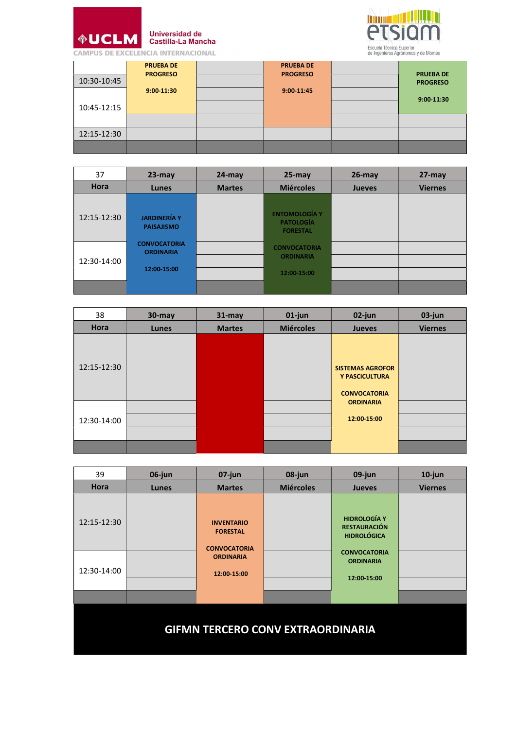

Universidad de<br>Castilla-La Mancha



| 10:30-10:45<br>10:45-12:15 | <b>PRUEBA DE</b><br><b>PROGRESO</b><br>9:00-11:30 | <b>PRUEBA DE</b><br><b>PROGRESO</b><br>9:00-11:45 | <b>PRUEBA DE</b><br><b>PROGRESO</b><br>9:00-11:30 |
|----------------------------|---------------------------------------------------|---------------------------------------------------|---------------------------------------------------|
| 12:15-12:30                |                                                   |                                                   |                                                   |
|                            |                                                   |                                                   |                                                   |

| 37          | $23 - may$                                             | $24$ -may     | $25 - may$                                                  | $26$ -may     | $27 - may$     |
|-------------|--------------------------------------------------------|---------------|-------------------------------------------------------------|---------------|----------------|
| Hora        | Lunes                                                  | <b>Martes</b> | <b>Miércoles</b>                                            | <b>Jueves</b> | <b>Viernes</b> |
| 12:15-12:30 | <b>JARDINERÍA Y</b><br><b>PAISAJISMO</b>               |               | <b>ENTOMOLOGÍA Y</b><br><b>PATOLOGÍA</b><br><b>FORESTAL</b> |               |                |
| 12:30-14:00 | <b>CONVOCATORIA</b><br><b>ORDINARIA</b><br>12:00-15:00 |               | <b>CONVOCATORIA</b><br><b>ORDINARIA</b><br>12:00-15:00      |               |                |
|             |                                                        |               |                                                             |               |                |

| 38          | $30$ -may | $31 -$ may    | $01$ -jun        | 02-jun                                                                               | 03-jun         |
|-------------|-----------|---------------|------------------|--------------------------------------------------------------------------------------|----------------|
| Hora        | Lunes     | <b>Martes</b> | <b>Miércoles</b> | <b>Jueves</b>                                                                        | <b>Viernes</b> |
| 12:15-12:30 |           |               |                  | <b>SISTEMAS AGROFOR</b><br>Y PASCICULTURA<br><b>CONVOCATORIA</b><br><b>ORDINARIA</b> |                |
| 12:30-14:00 |           |               |                  | 12:00-15:00                                                                          |                |
|             |           |               |                  |                                                                                      |                |

| 39                                       | 06-jun | 07-jun                                                                                         | 08-jun           | 09-jun                                                                                                                     | $10$ -jun      |  |  |  |
|------------------------------------------|--------|------------------------------------------------------------------------------------------------|------------------|----------------------------------------------------------------------------------------------------------------------------|----------------|--|--|--|
| Hora                                     | Lunes  | <b>Martes</b>                                                                                  | <b>Miércoles</b> | <b>Jueves</b>                                                                                                              | <b>Viernes</b> |  |  |  |
| 12:15-12:30<br>12:30-14:00               |        | <b>INVENTARIO</b><br><b>FORESTAL</b><br><b>CONVOCATORIA</b><br><b>ORDINARIA</b><br>12:00-15:00 |                  | <b>HIDROLOGÍA Y</b><br><b>RESTAURACIÓN</b><br><b>HIDROLÓGICA</b><br><b>CONVOCATORIA</b><br><b>ORDINARIA</b><br>12:00 15:00 |                |  |  |  |
|                                          |        |                                                                                                |                  |                                                                                                                            |                |  |  |  |
| <b>GIFMN TERCERO CONV EXTRAORDINARIA</b> |        |                                                                                                |                  |                                                                                                                            |                |  |  |  |